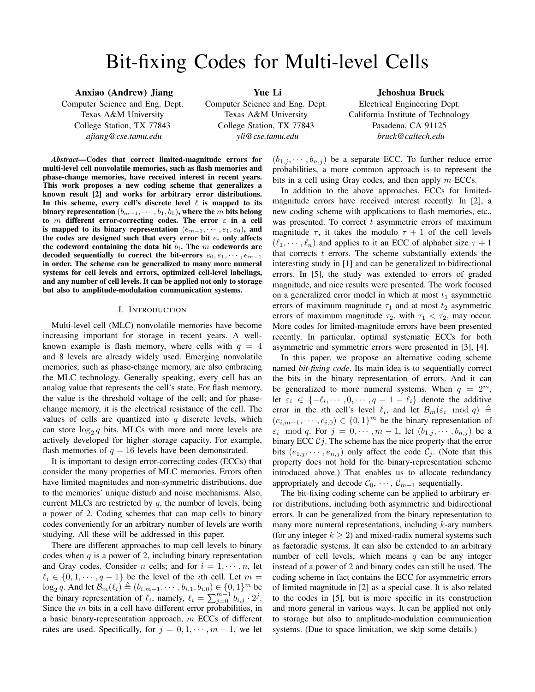# Bit-fixing Codes for Multi-level Cells

Anxiao (Andrew) Jiang Computer Science and Eng. Dept. Texas A&M University College Station, TX 77843 *ajiang@cse.tamu.edu*

Yue Li Computer Science and Eng. Dept. Texas A&M University College Station, TX 77843 *yli@cse.tamu.edu*

Jehoshua Bruck

Electrical Engineering Dept. California Institute of Technology Pasadena, CA 91125 *bruck@caltech.edu*

*Abstract*—Codes that correct limited-magnitude errors for multi-level cell nonvolatile memories, such as flash memories and phase-change memories, have received interest in recent years. This work proposes a new coding scheme that generalizes a known result [2] and works for arbitrary error distributions. In this scheme, every cell's discrete level  $\ell$  is mapped to its binary representation  $(b_{m-1}, \cdots, b_1, b_0)$ , where the m bits belong to m different error-correcting codes. The error  $\varepsilon$  in a cell is mapped to its binary representation  $(e_{m-1}, \dots, e_1, e_0)$ , and the codes are designed such that every error bit  $e_i$  only affects the codeword containing the data bit  $b_i$ . The m codewords are decoded sequentially to correct the bit-errors  $e_0, e_1, \cdots, e_{m-1}$ in order. The scheme can be generalized to many more numeral systems for cell levels and errors, optimized cell-level labelings, and any number of cell levels. It can be applied not only to storage but also to amplitude-modulation communication systems.

#### I. INTRODUCTION

Multi-level cell (MLC) nonvolatile memories have become increasing important for storage in recent years. A wellknown example is flash memory, where cells with  $q = 4$ and 8 levels are already widely used. Emerging nonvolatile memories, such as phase-change memory, are also embracing the MLC technology. Generally speaking, every cell has an analog value that represents the cell's state. For flash memory, the value is the threshold voltage of the cell; and for phasechange memory, it is the electrical resistance of the cell. The values of cells are quantized into  $q$  discrete levels, which can store  $log_2 q$  bits. MLCs with more and more levels are actively developed for higher storage capacity. For example, flash memories of  $q = 16$  levels have been demonstrated.

It is important to design error-correcting codes (ECCs) that consider the many properties of MLC memories. Errors often have limited magnitudes and non-symmetric distributions, due to the memories' unique disturb and noise mechanisms. Also, current MLCs are restricted by  $q$ , the number of levels, being a power of 2. Coding schemes that can map cells to binary codes conveniently for an arbitrary number of levels are worth studying. All these will be addressed in this paper.

There are different approaches to map cell levels to binary codes when  $q$  is a power of 2, including binary representation and Gray codes. Consider *n* cells; and for  $i = 1, \dots, n$ , let  $\ell_i \in \{0, 1, \dots, q - 1\}$  be the level of the *i*th cell. Let  $m =$  $\log_2 q$ . And let  $\mathcal{B}_m(\ell_i) \triangleq (b_{i,m-1}, \dots, b_{i,1}, b_{i,0}) \in \{0, 1\}^m$  be the binary representation of  $\ell_i$ , namely,  $\ell_i = \sum_{j=0}^{m-1} b_{i,j} \cdot 2^j$ . Since the *m* bits in a cell have different error probabilities, in a basic binary-representation approach,  $m$  ECCs of different rates are used. Specifically, for  $j = 0, 1, \dots, m - 1$ , we let

## $(b_{1,j}, \dots, b_{n,j})$  be a separate ECC. To further reduce error probabilities, a more common approach is to represent the bits in a cell using Gray codes, and then apply  $m$  ECCs.

In addition to the above approaches, ECCs for limitedmagnitude errors have received interest recently. In [2], a new coding scheme with applications to flash memories, etc., was presented. To correct  $t$  asymmetric errors of maximum magnitude  $\tau$ , it takes the modulo  $\tau + 1$  of the cell levels  $(\ell_1, \dots, \ell_n)$  and applies to it an ECC of alphabet size  $\tau + 1$ that corrects  $t$  errors. The scheme substantially extends the interesting study in [1] and can be generalized to bidirectional errors. In [5], the study was extended to errors of graded magnitude, and nice results were presented. The work focused on a generalized error model in which at most  $t_1$  asymmetric errors of maximum magnitude  $\tau_1$  and at most  $t_2$  asymmetric errors of maximum magnitude  $\tau_2$ , with  $\tau_1 < \tau_2$ , may occur. More codes for limited-magnitude errors have been presented recently. In particular, optimal systematic ECCs for both asymmetric and symmetric errors were presented in [3], [4].

In this paper, we propose an alternative coding scheme named *bit-fixing code*. Its main idea is to sequentially correct the bits in the binary representation of errors. And it can be generalized to more numeral systems. When  $q = 2^m$ , let  $\varepsilon_i \in \{-\ell_i, \dots, 0, \dots, q-1-\ell_i\}$  denote the additive error in the *i*th cell's level  $\ell_i$ , and let  $\mathcal{B}_m(\varepsilon_i \mod q) \triangleq$  $(e_{i,m-1},\dots, e_{i,0}) \in \{0,1\}^m$  be the binary representation of  $\varepsilon_i \mod q$ . For  $j = 0, \dots, m-1$ , let  $(b_{1,j}, \dots, b_{n,j})$  be a binary ECC  $C_j$ . The scheme has the nice property that the error bits  $(e_{1,j}, \dots, e_{n,j})$  only affect the code  $\mathcal{C}_j$ . (Note that this property does not hold for the binary-representation scheme introduced above.) That enables us to allocate redundancy appropriately and decode  $C_0, \cdots, C_{m-1}$  sequentially.

The bit-fixing coding scheme can be applied to arbitrary error distributions, including both asymmetric and bidirectional errors. It can be generalized from the binary representation to many more numeral representations, including  $k$ -ary numbers (for any integer  $k > 2$ ) and mixed-radix numeral systems such as factoradic systems. It can also be extended to an arbitrary number of cell levels, which means  $q$  can be any integer instead of a power of 2 and binary codes can still be used. The coding scheme in fact contains the ECC for asymmetric errors of limited magnitude in [2] as a special case. It is also related to the codes in [5], but is more specific in its construction and more general in various ways. It can be applied not only to storage but also to amplitude-modulation communication systems. (Due to space limitation, we skip some details.)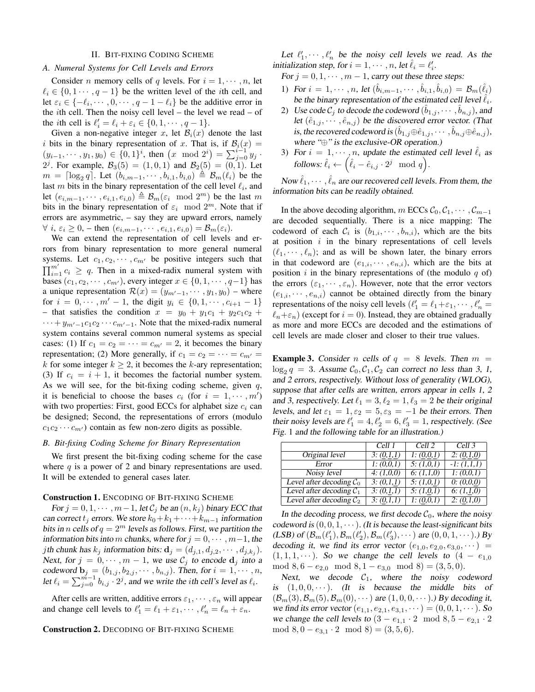#### II. BIT-FIXING CODING SCHEME

## *A. Numeral Systems for Cell Levels and Errors*

Consider *n* memory cells of *q* levels. For  $i = 1, \dots, n$ , let  $\ell_i \in \{0, 1 \cdots, q - 1\}$  be the written level of the *i*th cell, and let  $\varepsilon_i \in \{-\ell_i, \dots, 0, \dots, q-1-\ell_i\}$  be the additive error in the *i*th cell. Then the noisy cell level – the level we read – of the *i*th cell is  $\ell'_i = \ell_i + \varepsilon_i \in \{0, 1, \dots, q - 1\}.$ 

Given a non-negative integer x, let  $\mathcal{B}_i(x)$  denote the last i bits in the binary representation of x. That is, if  $\mathcal{B}_i(x) =$  $(y_{i-1}, \dots, y_1, y_0) \in \{0, 1\}^i$ , then  $(x \mod 2^i) = \sum_{j=0}^{i-1} y_j$ . 2<sup>j</sup>. For example,  $\mathcal{B}_3(5) = (1, 0, 1)$  and  $\mathcal{B}_2(5) = (0, 1)$ . Let  $m = \lceil \log_2 q \rceil$ . Let  $(b_{i,m-1}, \dots, b_{i,1}, b_{i,0}) \stackrel{\triangle}{=} \mathcal{B}_m(\ell_i)$  be the last m bits in the binary representation of the cell level  $\ell_i$ , and let  $(e_{i,m-1}, \dots, e_{i,1}, e_{i,0}) \triangleq \mathcal{B}_m(\varepsilon_i \mod 2^m)$  be the last m bits in the binary representation of  $\varepsilon_i \mod 2^m$ . Note that if errors are asymmetric, – say they are upward errors, namely  $\forall i, \varepsilon_i \geq 0$ , – then  $(e_{i,m-1}, \dots, e_{i,1}, e_{i,0}) = \mathcal{B}_m(\varepsilon_i)$ .

We can extend the representation of cell levels and errors from binary representation to more general numeral systems. Let  $c_1, c_2, \cdots, c_{m'}$  be positive integers such that  $\prod_{i=1}^{m'} c_i \ge q$ . Then in a mixed-radix numeral system with bases  $(c_1, c_2, \dots, c_{m'})$ , every integer  $x \in \{0, 1, \dots, q-1\}$  has a unique representation  $\mathcal{R}(x) = (y_{m'-1}, \dots, y_1, y_0)$  – where for  $i = 0, \dots, m' - 1$ , the digit  $y_i \in \{0, 1, \dots, c_{i+1} - 1\}$ – that satisfies the condition  $x = y_0 + y_1c_1 + y_2c_1c_2 +$  $\cdots + y_{m'-1}c_1c_2\cdots c_{m'-1}$ . Note that the mixed-radix numeral system contains several common numeral systems as special cases: (1) If  $c_1 = c_2 = \cdots = c_{m'} = 2$ , it becomes the binary representation; (2) More generally, if  $c_1 = c_2 = \cdots = c_{m'} =$ k for some integer  $k \geq 2$ , it becomes the k-ary representation; (3) If  $c_i = i + 1$ , it becomes the factorial number system. As we will see, for the bit-fixing coding scheme, given  $q$ , it is beneficial to choose the bases  $c_i$  (for  $i = 1, \dots, m'$ ) with two properties: First, good ECCs for alphabet size  $c_i$  can be designed; Second, the representations of errors (modulo  $c_1c_2 \cdots c_{m'}$ ) contain as few non-zero digits as possible.

## *B. Bit-fixing Coding Scheme for Binary Representation*

We first present the bit-fixing coding scheme for the case where  $q$  is a power of 2 and binary representations are used. It will be extended to general cases later.

#### Construction 1. ENCODING OF BIT-FIXING SCHEME

For  $j = 0, 1, \dots, m-1$ , let  $C_j$  be an  $(n, k_j)$  binary ECC that can correct  $t_i$  errors. We store  $k_0+k_1+\cdots+k_{m-1}$  information bits in n cells of  $q = 2^m$  levels as follows. First, we partition the information bits into m chunks, where for  $j = 0, \dots, m-1$ , the *j*th chunk has  $k_j$  information bits:  $\mathbf{d}_j = (d_{j,1}, d_{j,2}, \cdots, d_{j,k_j}).$ Next, for  $j = 0, \dots, m - 1$ , we use  $\mathcal{C}_j$  to encode  $\mathbf{d}_j$  into a codeword  $\mathbf{b}_j = (b_{1,j}, b_{2,j}, \cdots, b_{n,j})$ . Then, for  $i = 1, \cdots, n$ , let  $\ell_i = \sum_{j=0}^{m-1} b_{i,j} \cdot 2^j$ , and we write the *i*th cell's level as  $\ell_i$ .

After cells are written, additive errors  $\varepsilon_1, \dots, \varepsilon_n$  will appear and change cell levels to  $\ell'_1 = \ell_1 + \varepsilon_1, \cdots, \ell'_n = \ell_n + \varepsilon_n$ .

## Construction 2. DECODING OF BIT-FIXING SCHEME

Let  $\ell'_1, \dots, \ell'_n$  be the noisy cell levels we read. As the initialization step, for  $i = 1, \dots, n$ , let  $\hat{\ell}_i = \ell'_i$ .

For  $j = 0, 1, \dots, m - 1$ , carry out these three steps:

- 1) For  $i = 1, \dots, n$ , let  $(\hat{b}_{i,m-1}, \dots, \hat{b}_{i,1}, \hat{b}_{i,0}) = \mathcal{B}_m(\hat{\ell}_i)$ be the binary representation of the estimated cell level  $\hat{\ell}_i$ .
- 2) Use code  $\mathcal{C}_j$  to decode the codeword  $(\hat{b}_{1,j}, \dots, \hat{b}_{n,j})$ , and let  $(\hat{e}_{1,j}, \dots, \hat{e}_{n,j})$  be the discovered error vector. (That is, the recovered codeword is  $(\hat{b}_{1,j} \oplus \hat{e}_{1,j}, \cdots, \hat{b}_{n,j} \oplus \hat{e}_{n,j}),$ where " $\oplus$ " is the exclusive-OR operation.)
- 3) For  $i = 1, \dots, n$ , update the estimated cell level  $\ell_i$  as follows:  $\hat{\ell}_i \leftarrow \left( \hat{\ell}_i - \hat{e}_{i,j} \cdot 2^j \mod q \right)$ .

Now  $\hat{\ell}_1, \cdots, \hat{\ell}_n$  are our recovered cell levels. From them, the information bits can be readily obtained.

In the above decoding algorithm, m ECCs  $C_0, C_1, \cdots, C_{m-1}$ are decoded sequentially. There is a nice mapping: The codeword of each  $C_i$  is  $(b_{1,i}, \dots, b_{n,i})$ , which are the bits at position  $i$  in the binary representations of cell levels  $(\ell_1, \dots, \ell_n)$ ; and as will be shown later, the binary errors in that codeword are  $(e_{1,i}, \dots, e_{n,i})$ , which are the bits at position  $i$  in the binary representations of (the modulo  $q$  of) the errors  $(\varepsilon_1, \dots, \varepsilon_n)$ . However, note that the error vectors  $(e_{1,i}, \dots, e_{n,i})$  cannot be obtained directly from the binary representations of the noisy cell levels  $(\ell'_1 = \ell_1 + \varepsilon_1, \cdots, \ell'_n)$  $\ell_n+\varepsilon_n$ ) (except for  $i = 0$ ). Instead, they are obtained gradually as more and more ECCs are decoded and the estimations of cell levels are made closer and closer to their true values.

**Example 3.** Consider n cells of  $q = 8$  levels. Then  $m =$  $\log_2 q = 3$ . Assume  $C_0, C_1, C_2$  can correct no less than 3, 1, and 2 errors, respectively. Without loss of generality (WLOG), suppose that after cells are written, errors appear in cells 1, 2 and 3, respectively. Let  $\ell_1 = 3, \ell_2 = 1, \ell_3 = 2$  be their original levels, and let  $\varepsilon_1 = 1, \varepsilon_2 = 5, \varepsilon_3 = -1$  be their errors. Then their noisy levels are  $\ell'_1 = 4, \ell'_2 = 6, \ell'_3 = 1$ , respectively. (See Fig. 1 and the following table for an illustration.)

|                            | Cell 1     | Cell 2     | Cell 3                  |
|----------------------------|------------|------------|-------------------------|
| Original level             | 3: (0,1,1) | 1: (0,0,1) | $\overline{2: (0,1,0)}$ |
| Error                      | 1: (0,0,1) | 5: (1,0,1) | $-1: (1,1,1)$           |
| Noisy level                | 4: (1,0,0) | 6: (1,1,0) | 1: (0,0,1)              |
| Level after decoding $C_0$ | 3: (0,1,1) | 5: (1,0,1) | 0: (0,0,0)              |
| Level after decoding $C_1$ | 3: (0,1,1) | 5: (1,0,1) | 6: (1,1,0)              |
| Level after decoding $C_2$ | 3: (0,1,1) | 1: (0,0,1) | 2: (0,1,0)              |

In the decoding process, we first decode  $C_0$ , where the noisy codeword is  $(0, 0, 1, \dots)$ . (It is because the least-significant bits (LSB) of  $(\mathcal{B}_m(\ell'_1), \mathcal{B}_m(\ell'_2), \mathcal{B}_m(\ell'_3), \cdots)$  are  $(0, 0, 1, \cdots)$ .) By decoding it, we find its error vector  $(e_{1,0}, e_{2,0}, e_{3,0}, \dots)$  =  $(1, 1, 1, \dots)$ . So we change the cell levels to  $(4 - e_{1,0})$ mod  $8, 6 - e_{2,0} \mod 8, 1 - e_{3,0} \mod 8 = (3,5,0).$ 

Next, we decode  $C_1$ , where the noisy codeword is  $(1, 0, 0, \dots)$ . (It is because the middle bits of  $(\mathcal{B}_m(3), \mathcal{B}_m(5), \mathcal{B}_m(0), \cdots)$  are  $(1, 0, 0, \cdots)$ .) By decoding it, we find its error vector  $(e_{1,1}, e_{2,1}, e_{3,1}, \dots) = (0, 0, 1, \dots)$ . So we change the cell levels to  $(3 - e_{1,1} \cdot 2 \mod 8, 5 - e_{2,1} \cdot 2)$ mod  $8, 0 - e_{3,1} \cdot 2 \mod 8 = (3, 5, 6).$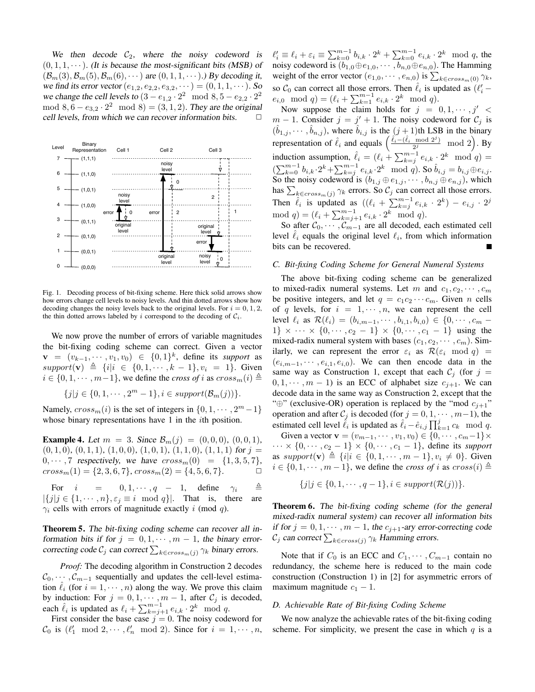We then decode  $C_2$ , where the noisy codeword is  $(0, 1, 1, \dots)$ . (It is because the most-significant bits (MSB) of  $(\mathcal{B}_m(3), \mathcal{B}_m(5), \mathcal{B}_m(6), \cdots)$  are  $(0, 1, 1, \cdots)$ .) By decoding it, we find its error vector  $(e_{1,2}, e_{2,2}, e_{3,2}, \dots) = (0, 1, 1, \dots)$ . So we change the cell levels to  $(3 - e_{1,2} \cdot 2^2 \mod 8, 5 - e_{2,2} \cdot 2^2)$ mod  $8, 6 - e_{3,2} \cdot 2^2 \mod 8 = (3, 1, 2)$ . They are the original cell levels, from which we can recover information bits.



Fig. 1. Decoding process of bit-fixing scheme. Here thick solid arrows show how errors change cell levels to noisy levels. And thin dotted arrows show how decoding changes the noisy levels back to the original levels. For  $i = 0, 1, 2$ , the thin dotted arrows labeled by i correspond to the decoding of  $C_i$ .

We now prove the number of errors of variable magnitudes the bit-fixing coding scheme can correct. Given a vector  $\mathbf{v} = (v_{k-1}, \dots, v_1, v_0) \in \{0,1\}^k$ , define its *support* as  $support(v) \triangleq \{i|i \in \{0, 1, \dots, k-1\}, v_i = 1\}.$  Given  $i \in \{0, 1, \dots, m-1\}$ , we define the *cross of* i as  $cross_m(i) \triangleq$ 

$$
\{j|j \in \{0, 1, \cdots, 2^m - 1\}, i \in support(\mathcal{B}_m(j))\}.
$$

Namely,  $cross_m(i)$  is the set of integers in  $\{0, 1, \dots, 2^m-1\}$ whose binary representations have 1 in the *i*th position.

**Example 4.** Let  $m = 3$ . Since  $\mathcal{B}_m(j) = (0, 0, 0), (0, 0, 1)$ ,  $(0, 1, 0), (0, 1, 1), (1, 0, 0), (1, 0, 1), (1, 1, 0), (1, 1, 1)$  for  $j =$  $0, \cdots, 7$  respectively, we have  $cross_m(0) = \{1, 3, 5, 7\}$ ,  $cross_m(1) = \{2, 3, 6, 7\}, cross_m(2) = \{4, 5, 6, 7\}.$ 

For  $i = 0, 1, \dots, q - 1$ , define  $\gamma_i \triangleq$  $|\{j|j \in \{1, \dots, n\}, \varepsilon_j \equiv i \mod q\}|$ . That is, there are  $\gamma_i$  cells with errors of magnitude exactly i (mod q).

Theorem 5. The bit-fixing coding scheme can recover all information bits if for  $j = 0, 1, \dots, m - 1$ , the binary errorcorrecting code  $\mathcal{C}_j$  can correct  $\sum_{k \in cross_m(j)} \gamma_k$  binary errors.

*Proof:* The decoding algorithm in Construction 2 decodes  $\mathcal{C}_0, \cdots, \mathcal{C}_{m-1}$  sequentially and updates the cell-level estimation  $\ell_i$  (for  $i = 1, \dots, n$ ) along the way. We prove this claim by induction: For  $j = 0, 1, \dots, m - 1$ , after  $C_j$  is decoded, each  $\hat{\ell}_i$  is updated as  $\ell_i + \sum_{k=j+1}^{m-1} e_{i,k} \cdot 2^k \mod q$ .

First consider the base case  $j = 0$ . The noisy codeword for  $\mathcal{C}_0$  is  $(\ell'_1 \mod 2, \dots, \ell'_n \mod 2)$ . Since for  $i = 1, \dots, n$ ,

 $\ell'_i \equiv \ell_i + \varepsilon_i \equiv \sum_{k=0}^{m-1} b_{i,k} \cdot 2^k + \sum_{k=0}^{m-1} e_{i,k} \cdot 2^k \mod q$ , the noisy codeword is  $(b_{1,0} \oplus e_{1,0}, \cdots, b_{n,0} \oplus e_{n,0})$ . The Hamming weight of the error vector  $(e_{1,0}, \dots, e_{n,0})$  is  $\sum_{k \in cross_m(0)} \gamma_k$ , so  $C_0$  can correct all those errors. Then  $\hat{\ell}_i$  is updated as  $(\ell'_i$  –  $e_{i,0} \mod q = (\ell_i + \sum_{k=1}^{m-1} e_{i,k} \cdot 2^k \mod q).$ 

Now suppose the claim holds for  $j = 0, 1, \dots, j' <$  $m-1$ . Consider  $j = j' + 1$ . The noisy codeword for  $C_j$  is  $(\hat{b}_{1,j}, \dots, \hat{b}_{n,j})$ , where  $\hat{b}_{i,j}$  is the  $(j+1)$ th LSB in the binary representation of  $\hat{\ell}_i$  and equals  $\left(\frac{\hat{\ell}_i - (\hat{\ell}_i \mod 2^j)}{2^j}\right)$  $\frac{\mod 2^j}{2^j} \mod 2$ . By induction assumption,  $\hat{\ell}_i = (\ell_i + \sum_{k=j}^{m-1} e_{i,k} \cdot 2^k \mod q) =$  $(\sum_{k=0}^{m-1} b_{i,k} \cdot 2^k + \sum_{k=j}^{m-1} e_{i,k} \cdot 2^k \mod q)$ . So  $\hat{b}_{i,j} = b_{i,j} \oplus e_{i,j}$ . So the noisy codeword is  $(b_{1,j} \oplus e_{1,j}, \dots, b_{n,j} \oplus e_{n,j})$ , which has  $\sum_{k \in cross_m(j)} \gamma_k$  errors. So  $\mathcal{C}_j$  can correct all those errors. Then  $\hat{\ell}_i$  is updated as  $((\ell_i + \sum_{k=j}^{m-1} e_{i,k} \cdot 2^k) - e_{i,j} \cdot 2^j)$ mod  $q$ ) =  $(\ell_i + \sum_{k=j+1}^{m-1} e_{i,k} \cdot 2^k \mod q)$ .

So after  $C_0, \dots, C_{m-1}$  are all decoded, each estimated cell level  $\hat{\ell}_i$  equals the original level  $\ell_i$ , from which information bits can be recovered.

#### *C. Bit-fixing Coding Scheme for General Numeral Systems*

The above bit-fixing coding scheme can be generalized to mixed-radix numeral systems. Let m and  $c_1, c_2, \cdots, c_m$ be positive integers, and let  $q = c_1 c_2 \cdots c_m$ . Given *n* cells of q levels, for  $i = 1, \dots, n$ , we can represent the cell level  $\ell_i$  as  $\mathcal{R}(\ell_i) = (b_{i,m-1}, \cdots, b_{i,1}, b_{i,0}) \in \{0, \cdots, c_m -$ 1}  $\times \cdots \times \{0, \cdots, c_2 - 1\} \times \{0, \cdots, c_1 - 1\}$  using the mixed-radix numeral system with bases  $(c_1, c_2, \dots, c_m)$ . Similarly, we can represent the error  $\varepsilon_i$  as  $\mathcal{R}(\varepsilon_i \mod q)$  =  $(e_{i,m-1}, \dots, e_{i,1}, e_{i,0})$ . We can then encode data in the same way as Construction 1, except that each  $C_i$  (for  $j =$  $0, 1, \dots, m - 1$  is an ECC of alphabet size  $c_{j+1}$ . We can decode data in the same way as Construction 2, except that the "⊕" (exclusive-OR) operation is replaced by the "mod  $c_{j+1}$ " operation and after  $C_j$  is decoded (for  $j = 0, 1, \dots, m-1$ ), the estimated cell level  $\hat{\ell}_i$  is updated as  $\hat{\ell}_i - \hat{e}_{i,j} \prod_{k=1}^{j} c_k \mod q$ .

Given a vector  $\mathbf{v} = (v_{m-1}, \dots, v_1, v_0) \in \{0, \dots, c_m-1\} \times$  $\cdots \times \{0, \cdots, c_2 - 1\} \times \{0, \cdots, c_1 - 1\}$ , define its *support* as  $support(v) \triangleq \{i | i \in \{0, 1, \dots, m-1\}, v_i \neq 0\}.$  Given  $i \in \{0, 1, \dots, m-1\}$ , we define the *cross of* i as  $cross(i) \triangleq$ 

$$
\{j|j\in\{0,1,\cdots,q-1\}, i\in support(\mathcal{R}(j))\}.
$$

**Theorem 6.** The bit-fixing coding scheme (for the general mixed-radix numeral system) can recover all information bits if for  $j = 0, 1, \dots, m - 1$ , the  $c_{j+1}$ -ary error-correcting code  $\mathcal{C}_j$  can correct  $\sum_{k \in cross(j)} \gamma_k$  Hamming errors.

Note that if  $C_0$  is an ECC and  $C_1, \cdots, C_{m-1}$  contain no redundancy, the scheme here is reduced to the main code construction (Construction 1) in [2] for asymmetric errors of maximum magnitude  $c_1 - 1$ .

## *D. Achievable Rate of Bit-fixing Coding Scheme*

We now analyze the achievable rates of the bit-fixing coding scheme. For simplicity, we present the case in which  $q$  is a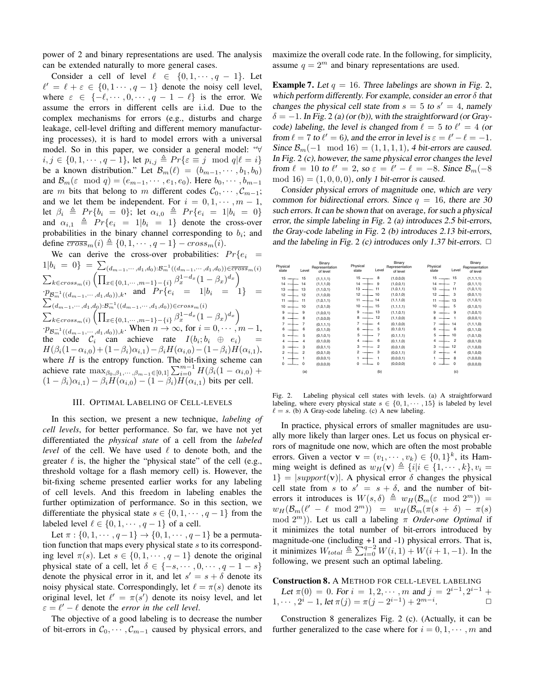power of 2 and binary representations are used. The analysis can be extended naturally to more general cases.

Consider a cell of level  $\ell \in \{0, 1, \dots, q - 1\}$ . Let  $\ell' = \ell + \varepsilon \in \{0, 1 \cdots, q - 1\}$  denote the noisy cell level, where  $\varepsilon \in \{-\ell, \dots, 0, \dots, q - 1 - \ell\}$  is the error. We assume the errors in different cells are i.i.d. Due to the complex mechanisms for errors (e.g., disturbs and charge leakage, cell-level drifting and different memory manufacturing processes), it is hard to model errors with a universal model. So in this paper, we consider a general model: "∀  $i, j \in \{0, 1, \dots, q - 1\}$ , let  $p_{i,j} \triangleq Pr\{\varepsilon \equiv j \mod q | \ell = i\}$ be a known distribution." Let  $\mathcal{B}_m(\ell) = (b_{m-1}, \dots, b_1, b_0)$ and  $\mathcal{B}_m(\varepsilon \mod q) = (e_{m-1}, \cdots, e_1, e_0)$ . Here  $b_0, \cdots, b_{m-1}$ are m bits that belong to m different codes  $C_0, \dots, C_{m-1}$ ; and we let them be independent. For  $i = 0, 1, \dots, m - 1$ , let  $\beta_i \triangleq Pr\{b_i = 0\}$ ; let  $\alpha_{i,0} \triangleq Pr\{e_i = 1|b_i = 0\}$ and  $\alpha_{i,1} \triangleq Pr\{e_i = 1 | b_i = 1\}$  denote the cross-over probabilities in the binary channel corresponding to  $b_i$ ; and define  $\overline{cross}_m(i) \triangleq \{0, 1, \cdots, q - 1\} - cross_m(i).$ 

We can derive the cross-over probabilities:  $Pr{e_i =$  $1|b_i = 0$ } =  $\sum_{(d_{m-1}, \cdots, d_1, d_0): \mathcal{B}_m^{-1}((d_{m-1}, \cdots, d_1, d_0)) \in \overline{cross}_m(i)}$  $\sum_{k \in cross_m(i)} \left( \prod_{x \in \{0,1,\cdots,m-1\} - \{i\}} \beta_x^{1-d_x} (1-\beta_x)^{d_x} \right)$  $\cdot \cdot p_{\mathcal{B}_m^{-1}((d_{m-1},\cdots,d_1,d_0)),k}$ , and  $Pr\{e_i = 1|b_i = 1\} =$  $\sum_{(d_{m-1}, \cdots, d_1, d_0): B_m^{-1}((d_{m-1}, \cdots, d_1, d_0)) \in cross_m(i)}$  $\sum_{k \in cross_m(i)} \left( \prod_{x \in \{0,1,\dots,m-1\} - \{i\}} \beta_x^{1-d_x} (1 - \beta_x)^{d_x} \right)$  $\cdot p_{\mathcal{B}_{m}^{-1}((d_{m-1},\cdots,d_1,d_0)),k}$ . When  $n \to \infty$ , for  $i = 0, \cdots, m-1$ , the code  $\mathcal{C}_i$  can achieve rate  $I(b_i; b_i \oplus e_i)$  =  $H(\beta_i(1-\alpha_{i,0})+(1-\beta_i)\alpha_{i,1})-\beta_i H(\alpha_{i,0})-(1-\beta_i)H(\alpha_{i,1}),$ where  $H$  is the entropy function. The bit-fixing scheme can achieve rate  $\max_{\beta_0, \beta_1, \cdots, \beta_{m-1} \in [0,1]} \sum_{i=0}^{m-1} H(\beta_i(1 - \alpha_{i,0}) +$  $(1 - \beta_i)\alpha_{i,1} - \beta_i H(\alpha_{i,0}) - (1 - \beta_i)H(\alpha_{i,1})$  bits per cell.

## III. OPTIMAL LABELING OF CELL-LEVELS

In this section, we present a new technique, *labeling of cell levels*, for better performance. So far, we have not yet differentiated the *physical state* of a cell from the *labeled level* of the cell. We have used  $\ell$  to denote both, and the greater  $\ell$  is, the higher the "physical state" of the cell (e.g., threshold voltage for a flash memory cell) is. However, the bit-fixing scheme presented earlier works for any labeling of cell levels. And this freedom in labeling enables the further optimization of performance. So in this section, we differentiate the physical state  $s \in \{0, 1, \dots, q - 1\}$  from the labeled level  $\ell \in \{0, 1, \dots, q - 1\}$  of a cell.

Let  $\pi : \{0, 1, \dots, q-1\} \to \{0, 1, \dots, q-1\}$  be a permutation function that maps every physical state  $s$  to its corresponding level  $\pi(s)$ . Let  $s \in \{0, 1, \dots, q-1\}$  denote the original physical state of a cell, let  $\delta \in \{-s, \dots, 0, \dots, q - 1 - s\}$ denote the physical error in it, and let  $s' = s + \delta$  denote its noisy physical state. Correspondingly, let  $\ell = \pi(s)$  denote its original level, let  $\ell' = \pi(s')$  denote its noisy level, and let  $\varepsilon = \ell' - \ell$  denote the *error in the cell level*.

The objective of a good labeling is to decrease the number of bit-errors in  $C_0, \dots, C_{m-1}$  caused by physical errors, and maximize the overall code rate. In the following, for simplicity, assume  $q = 2^m$  and binary representations are used.

**Example 7.** Let  $q = 16$ . Three labelings are shown in Fig. 2, which perform differently. For example, consider an error  $\delta$  that changes the physical cell state from  $s = 5$  to  $s' = 4$ , namely  $\delta = -1$ . In Fig. 2 (a) (or (b)), with the straightforward (or Graycode) labeling, the level is changed from  $\ell = 5$  to  $\ell' = 4$  (or from  $\ell = 7$  to  $\ell' = 6$ ), and the error in level is  $\varepsilon = \ell' - \ell = -1$ . Since  $\mathcal{B}_m(-1 \mod 16) = (1, 1, 1, 1)$ , 4 bit-errors are caused. In Fig. 2 (c), however, the same physical error changes the level from  $\ell = 10$  to  $\ell' = 2$ , so  $\varepsilon = \ell' - \ell = -8$ . Since  $\mathcal{B}_m(-8)$  $mod 16 = (1, 0, 0, 0)$ , only 1 bit-error is caused.

Consider physical errors of magnitude one, which are very common for bidirectional errors. Since  $q = 16$ , there are 30 such errors. It can be shown that on average, for such a physical error, the simple labeling in Fig. 2 (a) introduces 2.5 bit-errors, the Gray-code labeling in Fig. 2 (b) introduces 2.13 bit-errors, and the labeling in Fig. 2 (c) introduces only 1.37 bit-errors.  $\Box$ 

| Physical<br>state              | Level          | Binary<br>Representation<br>of level | Physical<br>state             | Level          | Binary<br>Representation<br>of level | Physical<br>state | Level          | Binary<br>Representation<br>of level |
|--------------------------------|----------------|--------------------------------------|-------------------------------|----------------|--------------------------------------|-------------------|----------------|--------------------------------------|
| 15                             | 15             | (1,1,1,1)                            | $15 -$                        | 8              | (1,0,0,0)                            | $15 \rightarrow$  | 15             | (1, 1, 1, 1)                         |
| 14<br>$\overline{\phantom{a}}$ | 14             | (1, 1, 1, 0)                         | $14 -$                        | 9              | (1,0,0,1)                            | $14 -$            | $\overline{7}$ | (0,1,1,1)                            |
| 13                             | 13             | (1,1,0,1)                            | $13 -$                        | 11             | (1, 0, 1, 1)                         | $13 -$            | 11             | (1,0,1,1)                            |
| 12                             | 12             | (1,1,0,0)                            | $12 -$                        | 10             | (1, 0, 1, 0)                         | $12 -$            | 3              | (0,0,1,1)                            |
| 11                             | 11             | (1, 0, 1, 1)                         | $11 -$                        | 14             | (1, 1, 1, 0)                         | $11 -$            | 13             | (1, 1, 0, 1)                         |
| 10                             | 10             | (1,0,1,0)                            | $10 -$                        | 15             | (1, 1, 1, 1)                         | $10 -$            | 5              | (0, 1, 0, 1)                         |
| 9                              | 9              | (1,0,0,1)                            | 9                             | 13             | (1, 1, 0, 1)                         | 9                 | 9              | (1,0,0,1)                            |
| 8                              | 8              | (1,0,0,0)                            | 8<br>$\overline{\phantom{a}}$ | 12             | (1, 1, 0, 0)                         | 8                 | 1              | (0,0,0,1)                            |
| $\overline{7}$                 | 7              | (0,1,1,1)                            | $\overline{7}$                | $\overline{4}$ | (0, 1, 0, 0)                         | $\overline{7}$    | 14             | (1,1,1,0)                            |
| 6                              | 6              | (0,1,1,0)                            | 6                             | 5              | (0, 1, 0, 1)                         | 6                 | 6              | (0,1,1,0)                            |
| 5                              | 5              | (0,1,0,1)                            | 5                             | $\overline{7}$ | (0, 1, 1, 1)                         | 5                 | 10             | (1,0,1,0)                            |
| 4                              | 4              | (0,1,0,0)                            | 4                             | 6              | (0, 1, 1, 0)                         | 4                 | $\overline{2}$ | (0,0,1,0)                            |
| 3                              | 3              | (0,0,1,1)                            | 3                             | $\overline{2}$ | (0,0,1,0)                            | 3                 | 12             | (1,1,0,0)                            |
| $\overline{2}$                 | $\overline{c}$ | (0,0,1,0)                            | $\overline{2}$<br>-           | 3              | (0,0,1,1)                            | $\overline{2}$    | 4              | (0,1,0,0)                            |
| 1                              | 1              | (0,0,0,1)                            | 1                             | 1              | (0,0,0,1)                            |                   | 8              | (1,0,0,0)                            |
| 0                              | $\Omega$       | (0,0,0,0)                            | $\Omega$                      | $\mathbf 0$    | (0,0,0,0)                            | $\mathbf 0$       | $\Omega$       | (0,0,0,0)                            |
|                                | (a)            |                                      |                               | (b)            |                                      |                   | (c)            |                                      |

Fig. 2. Labeling physical cell states with levels. (a) A straightforward labeling, where every physical state  $s \in \{0, 1, \dots, 15\}$  is labeled by level  $\ell = s$ . (b) A Gray-code labeling. (c) A new labeling.

In practice, physical errors of smaller magnitudes are usually more likely than larger ones. Let us focus on physical errors of magnitude one now, which are often the most probable errors. Given a vector  $\mathbf{v} = (v_1, \dots, v_k) \in \{0, 1\}^k$ , its Hamming weight is defined as  $w_H(\mathbf{v}) \triangleq \{i|i \in \{1, \dots, k\}, v_i =$  $1$ } =  $|support(v)|$ . A physical error  $\delta$  changes the physical cell state from s to  $s' = s + \delta$ , and the number of biterrors it introduces is  $W(s, \delta) \triangleq w_H(\mathcal{B}_m(\varepsilon \mod 2^m)) =$  $w_H(\mathcal{B}_m(\ell' - \ell \mod 2^m)) = w_H(\mathcal{B}_m(\pi(s + \delta) - \pi(s)))$ mod 2<sup>m</sup>)). Let us call a labeling π *Order-one Optimal* if it minimizes the total number of bit-errors introduced by magnitude-one (including +1 and -1) physical errors. That is, it minimizes  $W_{total} \triangleq \sum_{i=0}^{q-2} W(i, 1) + W(i + 1, -1)$ . In the following, we present such an optimal labeling.

Construction 8. A METHOD FOR CELL-LEVEL LABELING Let  $\pi(0) = 0$ . For  $i = 1, 2, \dots, m$  and  $j = 2^{i-1}, 2^{i-1} +$  $1, \cdots, 2^{i} - 1$ , let  $\pi(j) = \pi(j - 2^{i-1}) + 2^{m-i}$ .  $\Box$ 

Construction 8 generalizes Fig. 2 (c). (Actually, it can be further generalized to the case where for  $i = 0, 1, \dots, m$  and